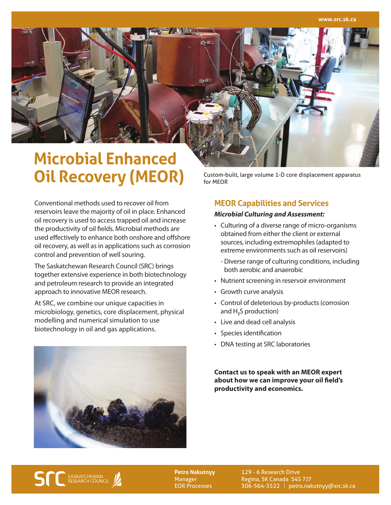# **Microbial Enhanced Oil Recovery (MEOR)**

Custom-built, large volume 1-D core displacement apparatus for MEOR

Conventional methods used to recover oil from reservoirs leave the majority of oil in place. Enhanced oil recovery is used to access trapped oil and increase the productivity of oil fields. Microbial methods are used effectively to enhance both onshore and offshore oil recovery, as well as in applications such as corrosion control and prevention of well souring.

The Saskatchewan Research Council (SRC) brings together extensive experience in both biotechnology and petroleum research to provide an integrated approach to innovative MEOR research.

At SRC, we combine our unique capacities in microbiology, genetics, core displacement, physical modelling and numerical simulation to use biotechnology in oil and gas applications.



# **MEOR Capabilities and Services**

#### *Microbial Culturing and Assessment:*

- Culturing of a diverse range of micro-organisms obtained from either the client or external sources, including extremophiles (adapted to extreme environments such as oil reservoirs)
	- Diverse range of culturing conditions, including both aerobic and anaerobic
- Nutrient screening in reservoir environment
- Growth curve analysis
- Control of deleterious by-products (corrosion and  $H_2S$  production)
- Live and dead cell analysis
- Species identification
- DNA testing at SRC laboratories

**Contact us to speak with an MEOR expert about how we can improve your oil field's productivity and economics.**



**Petro Nakutnyy** Manager EOR Processes